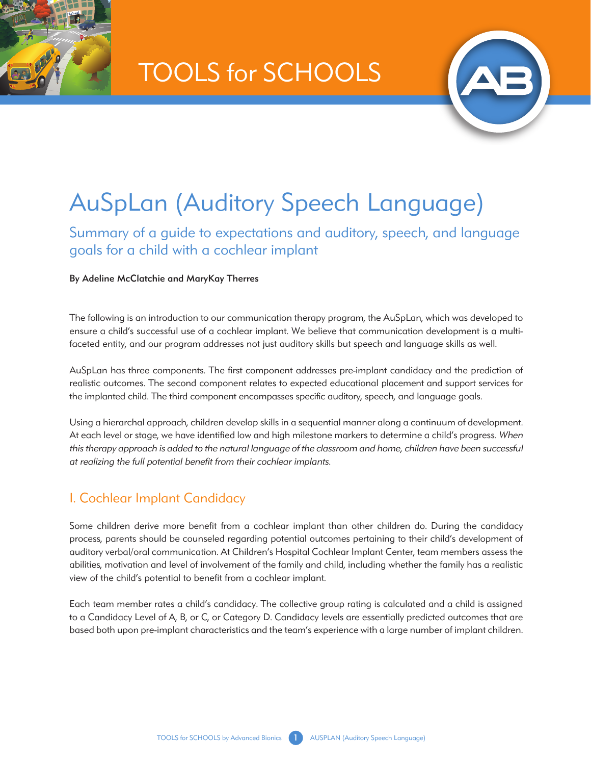TOOLS for SCHOOLS



# AuSpLan (Auditory Speech Language)

Summary of a guide to expectations and auditory, speech, and language goals for a child with a cochlear implant

By Adeline McClatchie and MaryKay Therres

The following is an introduction to our communication therapy program, the AuSpLan, which was developed to ensure a child's successful use of a cochlear implant. We believe that communication development is a multifaceted entity, and our program addresses not just auditory skills but speech and language skills as well.

AuSpLan has three components. The first component addresses pre-implant candidacy and the prediction of realistic outcomes. The second component relates to expected educational placement and support services for the implanted child. The third component encompasses specific auditory, speech, and language goals.

Using a hierarchal approach, children develop skills in a sequential manner along a continuum of development. At each level or stage, we have identified low and high milestone markers to determine a child's progress. *When*  this therapy approach is added to the natural language of the classroom and home, children have been successful *at realizing the full potential benefit from their cochlear implants.*

## I. Cochlear Implant Candidacy

Some children derive more benefit from a cochlear implant than other children do. During the candidacy process, parents should be counseled regarding potential outcomes pertaining to their child's development of auditory verbal/oral communication. At Children's Hospital Cochlear Implant Center, team members assess the abilities, motivation and level of involvement of the family and child, including whether the family has a realistic view of the child's potential to benefit from a cochlear implant.

Each team member rates a child's candidacy. The collective group rating is calculated and a child is assigned to a Candidacy Level of A, B, or C, or Category D. Candidacy levels are essentially predicted outcomes that are based both upon pre-implant characteristics and the team's experience with a large number of implant children.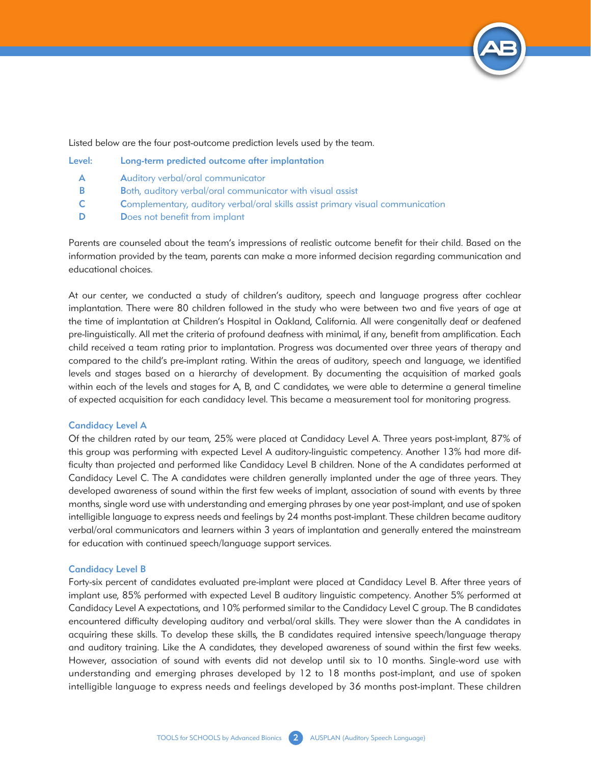

Listed below are the four post-outcome prediction levels used by the team.

| Level: | Long-term predicted outcome after implantation                                        |
|--------|---------------------------------------------------------------------------------------|
| А      | Auditory verbal/oral communicator                                                     |
| B      | Both, auditory verbal/oral communicator with visual assist                            |
| C.     | <b>Complementary, auditory verbal/oral skills assist primary visual communication</b> |
|        | Does not benefit from implant                                                         |

Parents are counseled about the team's impressions of realistic outcome benefit for their child. Based on the information provided by the team, parents can make a more informed decision regarding communication and educational choices.

At our center, we conducted a study of children's auditory, speech and language progress after cochlear implantation. There were 80 children followed in the study who were between two and five years of age at the time of implantation at Children's Hospital in Oakland, California. All were congenitally deaf or deafened pre-linguistically. All met the criteria of profound deafness with minimal, if any, benefit from amplification. Each child received a team rating prior to implantation. Progress was documented over three years of therapy and compared to the child's pre-implant rating. Within the areas of auditory, speech and language, we identified levels and stages based on a hierarchy of development. By documenting the acquisition of marked goals within each of the levels and stages for A, B, and C candidates, we were able to determine a general timeline of expected acquisition for each candidacy level. This became a measurement tool for monitoring progress.

#### Candidacy Level A

Of the children rated by our team, 25% were placed at Candidacy Level A. Three years post-implant, 87% of this group was performing with expected Level A auditory-linguistic competency. Another 13% had more difficulty than projected and performed like Candidacy Level B children. None of the A candidates performed at Candidacy Level C. The A candidates were children generally implanted under the age of three years. They developed awareness of sound within the first few weeks of implant, association of sound with events by three months, single word use with understanding and emerging phrases by one year post-implant, and use of spoken intelligible language to express needs and feelings by 24 months post-implant. These children became auditory verbal/oral communicators and learners within 3 years of implantation and generally entered the mainstream for education with continued speech/language support services.

#### Candidacy Level B

Forty-six percent of candidates evaluated pre-implant were placed at Candidacy Level B. After three years of implant use, 85% performed with expected Level B auditory linguistic competency. Another 5% performed at Candidacy Level A expectations, and 10% performed similar to the Candidacy Level C group. The B candidates encountered difficulty developing auditory and verbal/oral skills. They were slower than the A candidates in acquiring these skills. To develop these skills, the B candidates required intensive speech/language therapy and auditory training. Like the A candidates, they developed awareness of sound within the first few weeks. However, association of sound with events did not develop until six to 10 months. Single-word use with understanding and emerging phrases developed by 12 to 18 months post-implant, and use of spoken intelligible language to express needs and feelings developed by 36 months post-implant. These children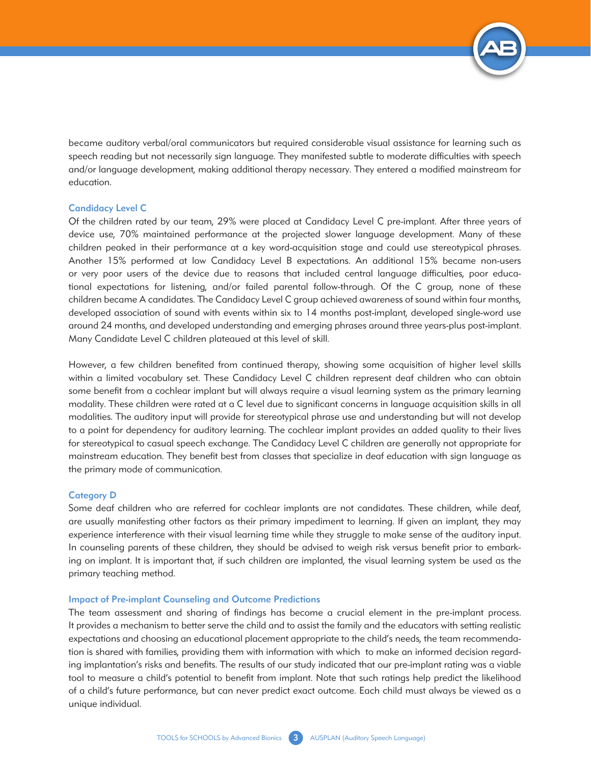

became auditory verbal/oral communicators but required considerable visual assistance for learning such as speech reading but not necessarily sign language. They manifested subtle to moderate difficulties with speech and/or language development, making additional therapy necessary. They entered a modified mainstream for education.

#### Candidacy Level C

Of the children rated by our team, 29% were placed at Candidacy Level C pre-implant. After three years of device use, 70% maintained performance at the projected slower language development. Many of these children peaked in their performance at a key word-acquisition stage and could use stereotypical phrases. Another 15% performed at low Candidacy Level B expectations. An additional 15% became non-users or very poor users of the device due to reasons that included central language difficulties, poor educational expectations for listening, and/or failed parental follow-through. Of the C group, none of these children became A candidates. The Candidacy Level C group achieved awareness of sound within four months, developed association of sound with events within six to 14 months post-implant, developed single-word use around 24 months, and developed understanding and emerging phrases around three years-plus post-implant. Many Candidate Level C children plateaued at this level of skill.

However, a few children benefited from continued therapy, showing some acquisition of higher level skills within a limited vocabulary set. These Candidacy Level C children represent deaf children who can obtain some benefit from a cochlear implant but will always require a visual learning system as the primary learning modality. These children were rated at a C level due to significant concerns in language acquisition skills in all modalities. The auditory input will provide for stereotypical phrase use and understanding but will not develop to a point for dependency for auditory learning. The cochlear implant provides an added quality to their lives for stereotypical to casual speech exchange. The Candidacy Level C children are generally not appropriate for mainstream education. They benefit best from classes that specialize in deaf education with sign language as the primary mode of communication.

#### Category D

Some deaf children who are referred for cochlear implants are not candidates. These children, while deaf, are usually manifesting other factors as their primary impediment to learning. If given an implant, they may experience interference with their visual learning time while they struggle to make sense of the auditory input. In counseling parents of these children, they should be advised to weigh risk versus benefit prior to embarking on implant. It is important that, if such children are implanted, the visual learning system be used as the primary teaching method.

#### Impact of Pre-implant Counseling and Outcome Predictions

The team assessment and sharing of findings has become a crucial element in the pre-implant process. It provides a mechanism to better serve the child and to assist the family and the educators with setting realistic expectations and choosing an educational placement appropriate to the child's needs, the team recommendation is shared with families, providing them with information with which to make an informed decision regarding implantation's risks and benefits. The results of our study indicated that our pre-implant rating was a viable tool to measure a child's potential to benefit from implant. Note that such ratings help predict the likelihood of a child's future performance, but can never predict exact outcome. Each child must always be viewed as a unique individual.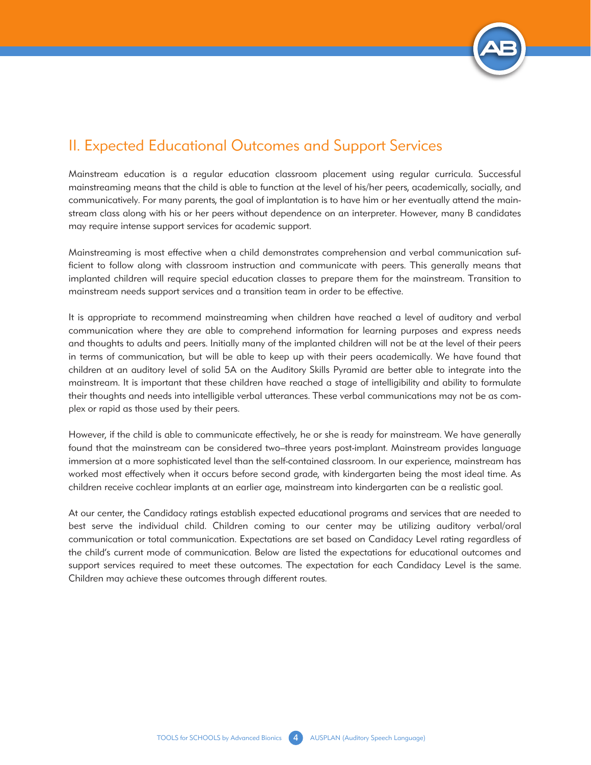

## II. Expected Educational Outcomes and Support Services

Mainstream education is a regular education classroom placement using regular curricula. Successful mainstreaming means that the child is able to function at the level of his/her peers, academically, socially, and communicatively. For many parents, the goal of implantation is to have him or her eventually attend the mainstream class along with his or her peers without dependence on an interpreter. However, many B candidates may require intense support services for academic support.

Mainstreaming is most effective when a child demonstrates comprehension and verbal communication sufficient to follow along with classroom instruction and communicate with peers. This generally means that implanted children will require special education classes to prepare them for the mainstream. Transition to mainstream needs support services and a transition team in order to be effective.

It is appropriate to recommend mainstreaming when children have reached a level of auditory and verbal communication where they are able to comprehend information for learning purposes and express needs and thoughts to adults and peers. Initially many of the implanted children will not be at the level of their peers in terms of communication, but will be able to keep up with their peers academically. We have found that children at an auditory level of solid 5A on the Auditory Skills Pyramid are better able to integrate into the mainstream. It is important that these children have reached a stage of intelligibility and ability to formulate their thoughts and needs into intelligible verbal utterances. These verbal communications may not be as complex or rapid as those used by their peers.

However, if the child is able to communicate effectively, he or she is ready for mainstream. We have generally found that the mainstream can be considered two–three years post-implant. Mainstream provides language immersion at a more sophisticated level than the self-contained classroom. In our experience, mainstream has worked most effectively when it occurs before second grade, with kindergarten being the most ideal time. As children receive cochlear implants at an earlier age, mainstream into kindergarten can be a realistic goal.

At our center, the Candidacy ratings establish expected educational programs and services that are needed to best serve the individual child. Children coming to our center may be utilizing auditory verbal/oral communication or total communication. Expectations are set based on Candidacy Level rating regardless of the child's current mode of communication. Below are listed the expectations for educational outcomes and support services required to meet these outcomes. The expectation for each Candidacy Level is the same. Children may achieve these outcomes through different routes.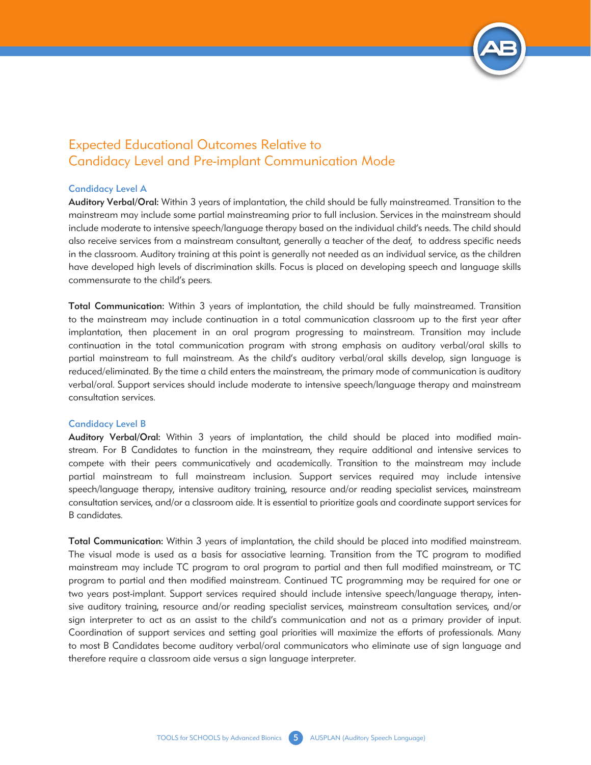

## Expected Educational Outcomes Relative to Candidacy Level and Pre-implant Communication Mode

#### Candidacy Level A

Auditory Verbal/Oral: Within 3 years of implantation, the child should be fully mainstreamed. Transition to the mainstream may include some partial mainstreaming prior to full inclusion. Services in the mainstream should include moderate to intensive speech/language therapy based on the individual child's needs. The child should also receive services from a mainstream consultant, generally a teacher of the deaf, to address specific needs in the classroom. Auditory training at this point is generally not needed as an individual service, as the children have developed high levels of discrimination skills. Focus is placed on developing speech and language skills commensurate to the child's peers.

Total Communication: Within 3 years of implantation, the child should be fully mainstreamed. Transition to the mainstream may include continuation in a total communication classroom up to the first year after implantation, then placement in an oral program progressing to mainstream. Transition may include continuation in the total communication program with strong emphasis on auditory verbal/oral skills to partial mainstream to full mainstream. As the child's auditory verbal/oral skills develop, sign language is reduced/eliminated. By the time a child enters the mainstream, the primary mode of communication is auditory verbal/oral. Support services should include moderate to intensive speech/language therapy and mainstream consultation services.

#### Candidacy Level B

Auditory Verbal/Oral: Within 3 years of implantation, the child should be placed into modified mainstream. For B Candidates to function in the mainstream, they require additional and intensive services to compete with their peers communicatively and academically. Transition to the mainstream may include partial mainstream to full mainstream inclusion. Support services required may include intensive speech/language therapy, intensive auditory training, resource and/or reading specialist services, mainstream consultation services, and/or a classroom aide. It is essential to prioritize goals and coordinate support services for B candidates.

Total Communication: Within 3 years of implantation, the child should be placed into modified mainstream. The visual mode is used as a basis for associative learning. Transition from the TC program to modified mainstream may include TC program to oral program to partial and then full modified mainstream, or TC program to partial and then modified mainstream. Continued TC programming may be required for one or two years post-implant. Support services required should include intensive speech/language therapy, intensive auditory training, resource and/or reading specialist services, mainstream consultation services, and/or sign interpreter to act as an assist to the child's communication and not as a primary provider of input. Coordination of support services and setting goal priorities will maximize the efforts of professionals. Many to most B Candidates become auditory verbal/oral communicators who eliminate use of sign language and therefore require a classroom aide versus a sign language interpreter.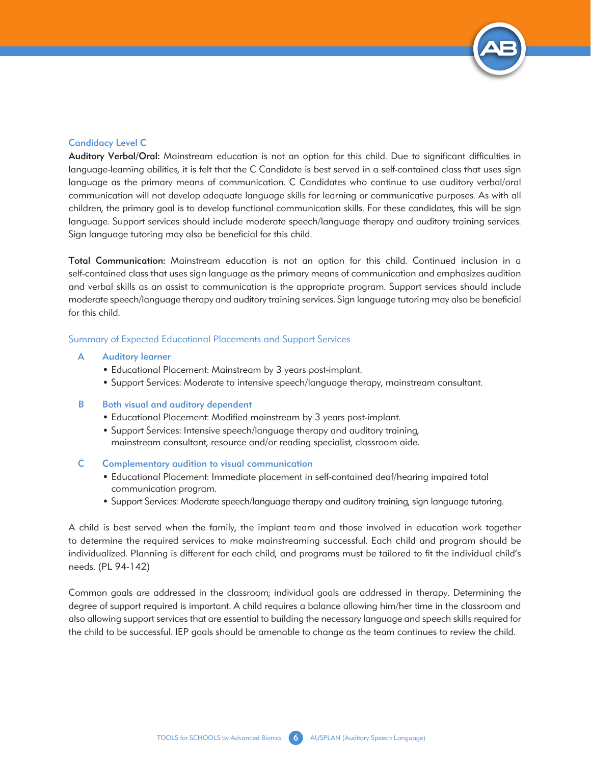

#### Candidacy Level C

Auditory Verbal/Oral: Mainstream education is not an option for this child. Due to significant difficulties in language-learning abilities, it is felt that the C Candidate is best served in a self-contained class that uses sign language as the primary means of communication. C Candidates who continue to use auditory verbal/oral communication will not develop adequate language skills for learning or communicative purposes. As with all children, the primary goal is to develop functional communication skills. For these candidates, this will be sign language. Support services should include moderate speech/language therapy and auditory training services. Sign language tutoring may also be beneficial for this child.

Total Communication: Mainstream education is not an option for this child. Continued inclusion in a self-contained class that uses sign language as the primary means of communication and emphasizes audition and verbal skills as an assist to communication is the appropriate program. Support services should include moderate speech/language therapy and auditory training services. Sign language tutoring may also be beneficial for this child.

#### Summary of Expected Educational Placements and Support Services

#### A Auditory learner

- Educational Placement: Mainstream by 3 years post-implant.
- Support Services: Moderate to intensive speech/language therapy, mainstream consultant.

#### **B** Both visual and auditory dependent

- Educational Placement: Modified mainstream by 3 years post-implant.
- Support Services: Intensive speech/language therapy and auditory training, mainstream consultant, resource and/or reading specialist, classroom aide.
- C Complementary audition to visual communication
	- Educational Placement: Immediate placement in self-contained deaf/hearing impaired total communication program.
	- Support Services: Moderate speech/language therapy and auditory training, sign language tutoring.

A child is best served when the family, the implant team and those involved in education work together to determine the required services to make mainstreaming successful. Each child and program should be individualized. Planning is different for each child, and programs must be tailored to fit the individual child's needs. (PL 94-142)

Common goals are addressed in the classroom; individual goals are addressed in therapy. Determining the degree of support required is important. A child requires a balance allowing him/her time in the classroom and also allowing support services that are essential to building the necessary language and speech skills required for the child to be successful. IEP goals should be amenable to change as the team continues to review the child.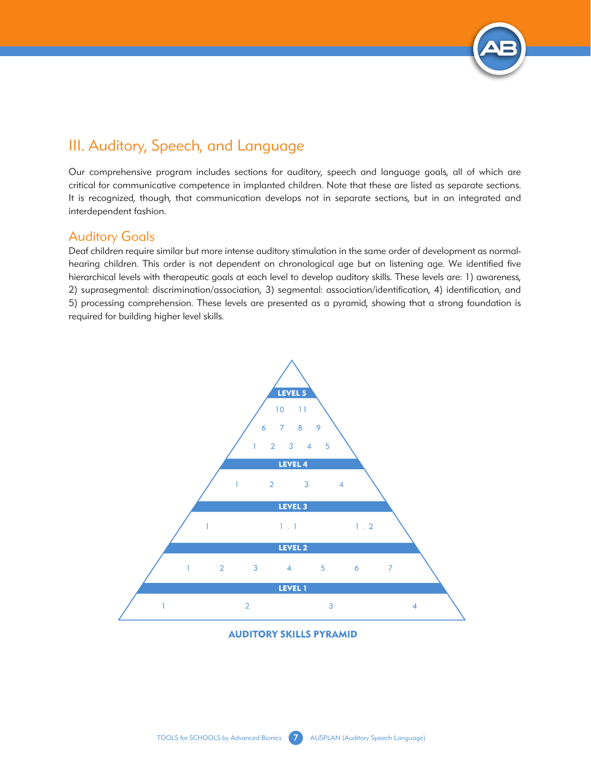

# III. Auditory, Speech, and Language

Our comprehensive program includes sections for auditory, speech and language goals, all of which are critical for communicative competence in implanted children. Note that these are listed as separate sections. It is recognized, though, that communication develops not in separate sections, but in an integrated and interdependent fashion.

### Auditory Goals

Deaf children require similar but more intense auditory stimulation in the same order of development as normalhearing children. This order is not dependent on chronological age but on listening age. We identified five hierarchical levels with therapeutic goals at each level to develop auditory skills. These levels are: 1) awareness, 2) suprasegmental: discrimination/association, 3) segmental: association/identification, 4) identification, and 5) processing comprehension. These levels are presented as a pyramid, showing that a strong foundation is required for building higher level skills.



#### **AUDITORY SKILLS PYRAMID**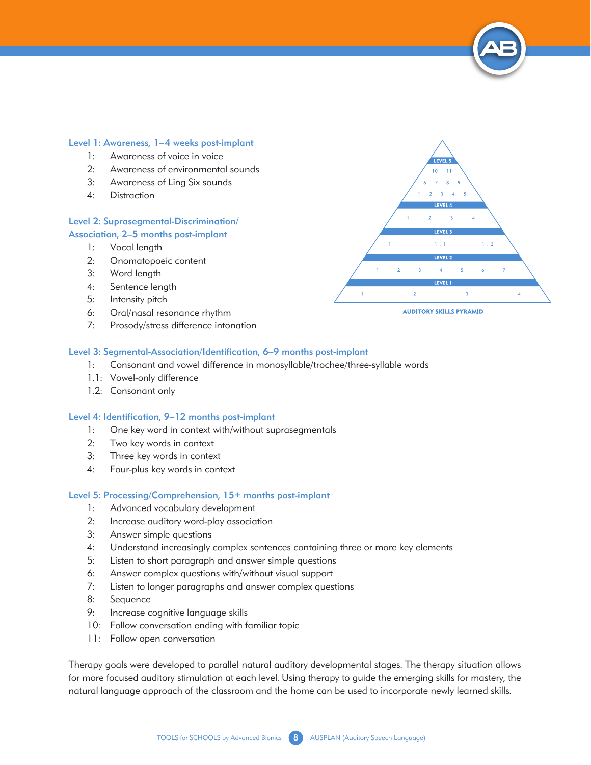#### Level 1: Awareness, 1–4 weeks post-implant

- 1: Awareness of voice in voice
- 2: Awareness of environmental sounds
- 3: Awareness of Ling Six sounds
- 4: Distraction

#### Level 2: Suprasegmental-Discrimination/ Association, 2–5 months post-implant

- 1: Vocal length
- 2: Onomatopoeic content
- 3: Word length
- 4: Sentence length
- 5: Intensity pitch
- 6: Oral/nasal resonance rhythm
- 7: Prosody/stress difference intonation

#### Level 3: Segmental-Association/Identification, 6–9 months post-implant

- 1: Consonant and vowel difference in monosyllable/trochee/three-syllable words
- 1.1: Vowel-only difference
- 1.2: Consonant only

#### Level 4: Identification, 9–12 months post-implant

- 1: One key word in context with/without suprasegmentals
- 2: Two key words in context
- 3: Three key words in context
- 4: Four-plus key words in context

#### Level 5: Processing/Comprehension, 15+ months post-implant

- 1: Advanced vocabulary development
- 2: Increase auditory word-play association
- 3: Answer simple questions
- 4: Understand increasingly complex sentences containing three or more key elements
- 5: Listen to short paragraph and answer simple questions
- 6: Answer complex questions with/without visual support
- 7: Listen to longer paragraphs and answer complex questions
- 8: Sequence
- 9: Increase cognitive language skills
- 10: Follow conversation ending with familiar topic
- 11: Follow open conversation

Therapy goals were developed to parallel natural auditory developmental stages. The therapy situation allows for more focused auditory stimulation at each level. Using therapy to guide the emerging skills for mastery, the natural language approach of the classroom and the home can be used to incorporate newly learned skills.



#### TOOLS for SCHOOLS by Advanced Bionics 8 AUSPLAN (Auditory Speech Language)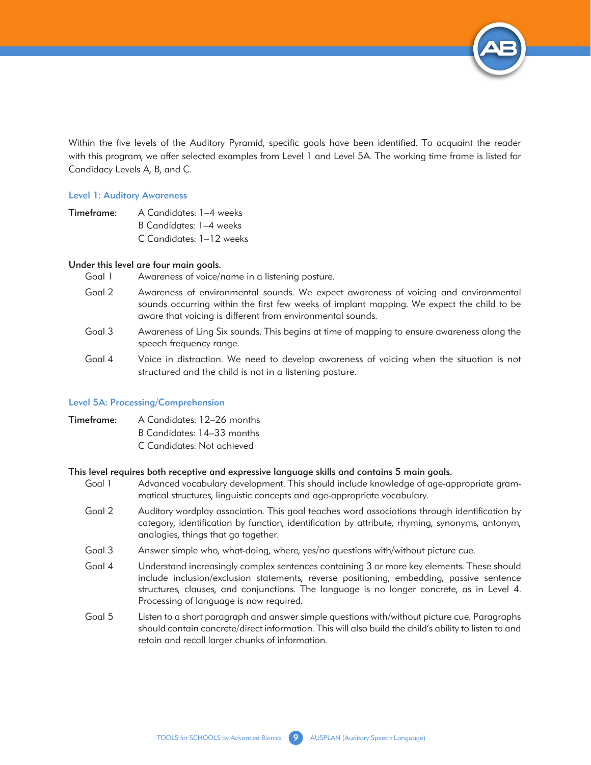

Within the five levels of the Auditory Pyramid, specific goals have been identified. To acquaint the reader with this program, we offer selected examples from Level 1 and Level 5A. The working time frame is listed for Candidacy Levels A, B, and C.

#### Level 1: Auditory Awareness

Timeframe: A Candidates: 1–4 weeks B Candidates: 1–4 weeks C Candidates: 1–12 weeks

#### Under this level are four main goals.

- Goal 1 Awareness of voice/name in a listening posture.
- Goal 2 Awareness of environmental sounds. We expect awareness of voicing and environmental sounds occurring within the first few weeks of implant mapping. We expect the child to be aware that voicing is different from environmental sounds.
- Goal 3 Awareness of Ling Six sounds. This begins at time of mapping to ensure awareness along the speech frequency range.
- Goal 4 Voice in distraction. We need to develop awareness of voicing when the situation is not structured and the child is not in a listening posture.

#### Level 5A: Processing/Comprehension

- Timeframe: A Candidates: 12–26 months
	- B Candidates: 14–33 months
	- C Candidates: Not achieved

#### This level requires both receptive and expressive language skills and contains 5 main goals.

- Goal 1 Advanced vocabulary development. This should include knowledge of age-appropriate grammatical structures, linguistic concepts and age-appropriate vocabulary.
- Goal 2 Auditory wordplay association. This goal teaches word associations through identification by category, identification by function, identification by attribute, rhyming, synonyms, antonym, analogies, things that go together.
- Goal 3 Answer simple who, what-doing, where, yes/no questions with/without picture cue.
- Goal 4 Understand increasingly complex sentences containing 3 or more key elements. These should include inclusion/exclusion statements, reverse positioning, embedding, passive sentence structures, clauses, and conjunctions. The language is no longer concrete, as in Level 4. Processing of language is now required.
- Goal 5 Listen to a short paragraph and answer simple questions with/without picture cue. Paragraphs should contain concrete/direct information. This will also build the child's ability to listen to and retain and recall larger chunks of information.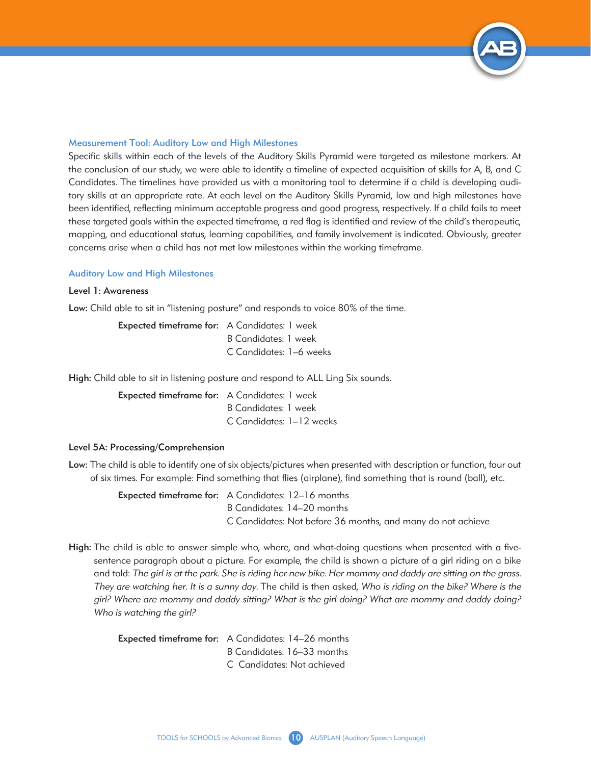

#### Measurement Tool: Auditory Low and High Milestones

Specific skills within each of the levels of the Auditory Skills Pyramid were targeted as milestone markers. At the conclusion of our study, we were able to identify a timeline of expected acquisition of skills for A, B, and C Candidates. The timelines have provided us with a monitoring tool to determine if a child is developing auditory skills at an appropriate rate. At each level on the Auditory Skills Pyramid, low and high milestones have been identified, reflecting minimum acceptable progress and good progress, respectively. If a child fails to meet these targeted goals within the expected timeframe, a red flag is identified and review of the child's therapeutic, mapping, and educational status, learning capabilities, and family involvement is indicated. Obviously, greater concerns arise when a child has not met low milestones within the working timeframe.

#### Auditory Low and High Milestones

#### Level 1: Awareness

Low: Child able to sit in "listening posture" and responds to voice 80% of the time.

Expected timeframe for: A Candidates: 1 week B Candidates: 1 week C Candidates: 1–6 weeks

High: Child able to sit in listening posture and respond to ALL Ling Six sounds.

Expected timeframe for: A Candidates: 1 week B Candidates: 1 week C Candidates: 1–12 weeks

#### Level 5A: Processing/Comprehension

Low: The child is able to identify one of six objects/pictures when presented with description or function, four out of six times. For example: Find something that flies (airplane), find something that is round (ball), etc.

> Expected timeframe for: A Candidates: 12–16 months B Candidates: 14–20 months C Candidates: Not before 36 months, and many do not achieve

High: The child is able to answer simple who, where, and what-doing questions when presented with a fivesentence paragraph about a picture. For example, the child is shown a picture of a girl riding on a bike and told: *The girl is at the park. She is riding her new bike. Her mommy and daddy are sitting on the grass. They are watching her. It is a sunny day.* The child is then asked, *Who is riding on the bike? Where is the girl? Where are mommy and daddy sitting? What is the girl doing? What are mommy and daddy doing? Who is watching the girl?*

| Expected timeframe for: A Candidates: 14-26 months |
|----------------------------------------------------|
| B Candidates: 16–33 months                         |
| C Candidates: Not achieved                         |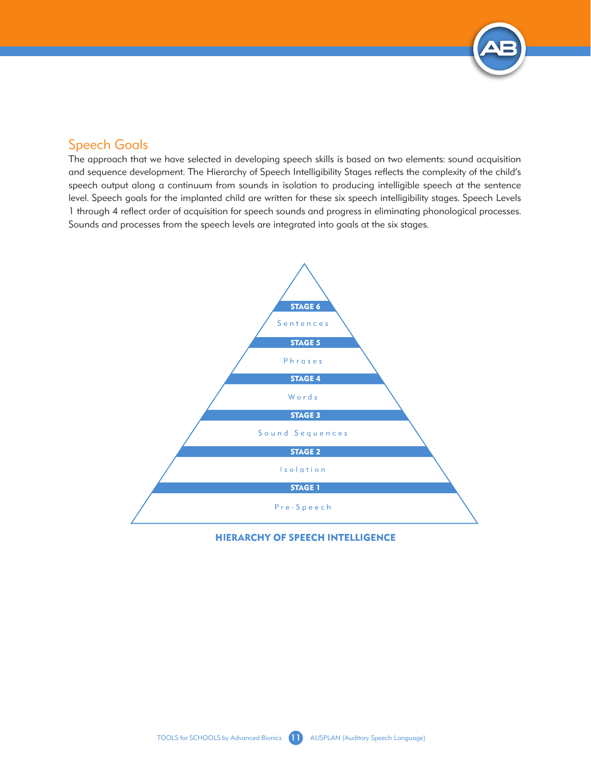

## Speech Goals

The approach that we have selected in developing speech skills is based on two elements: sound acquisition and sequence development. The Hierarchy of Speech Intelligibility Stages reflects the complexity of the child's speech output along a continuum from sounds in isolation to producing intelligible speech at the sentence level. Speech goals for the implanted child are written for these six speech intelligibility stages. Speech Levels 1 through 4 reflect order of acquisition for speech sounds and progress in eliminating phonological processes. Sounds and processes from the speech levels are integrated into goals at the six stages.



**HIERARCHY OF SPEECH INTELLIGENCE**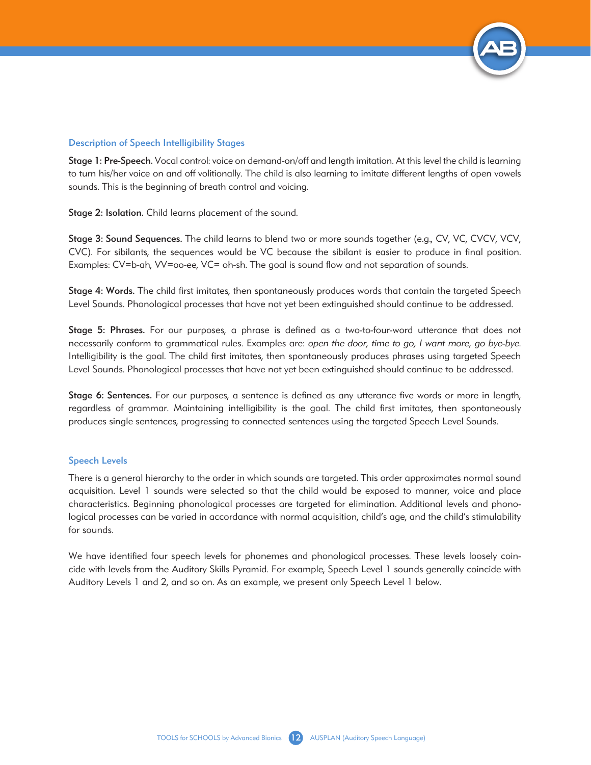

#### Description of Speech Intelligibility Stages

Stage 1: Pre-Speech. Vocal control: voice on demand-on/off and length imitation. At this level the child is learning to turn his/her voice on and off volitionally. The child is also learning to imitate different lengths of open vowels sounds. This is the beginning of breath control and voicing.

Stage 2: Isolation. Child learns placement of the sound.

Stage 3: Sound Sequences. The child learns to blend two or more sounds together (e.g., CV, VC, CVCV, VCV, CVC). For sibilants, the sequences would be VC because the sibilant is easier to produce in final position. Examples: CV=b-ah, VV=oo-ee, VC= oh-sh. The goal is sound flow and not separation of sounds.

Stage 4: Words. The child first imitates, then spontaneously produces words that contain the targeted Speech Level Sounds. Phonological processes that have not yet been extinguished should continue to be addressed.

Stage 5: Phrases. For our purposes, a phrase is defined as a two-to-four-word utterance that does not necessarily conform to grammatical rules. Examples are: *open the door, time to go, I want more, go bye-bye*. Intelligibility is the goal. The child first imitates, then spontaneously produces phrases using targeted Speech Level Sounds. Phonological processes that have not yet been extinguished should continue to be addressed.

Stage 6: Sentences. For our purposes, a sentence is defined as any utterance five words or more in length, regardless of grammar. Maintaining intelligibility is the goal. The child first imitates, then spontaneously produces single sentences, progressing to connected sentences using the targeted Speech Level Sounds.

#### Speech Levels

There is a general hierarchy to the order in which sounds are targeted. This order approximates normal sound acquisition. Level 1 sounds were selected so that the child would be exposed to manner, voice and place characteristics. Beginning phonological processes are targeted for elimination. Additional levels and phonological processes can be varied in accordance with normal acquisition, child's age, and the child's stimulability for sounds.

We have identified four speech levels for phonemes and phonological processes. These levels loosely coincide with levels from the Auditory Skills Pyramid. For example, Speech Level 1 sounds generally coincide with Auditory Levels 1 and 2, and so on. As an example, we present only Speech Level 1 below.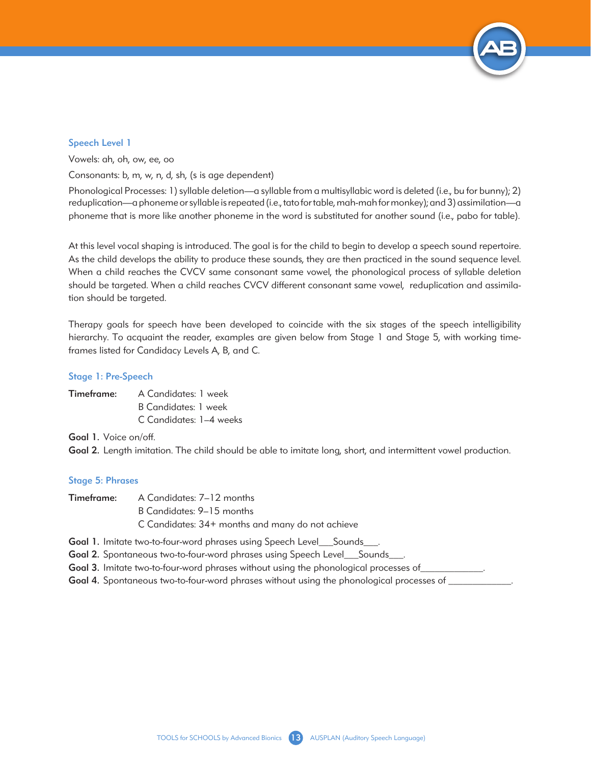

#### Speech Level 1

Vowels: ah, oh, ow, ee, oo

Consonants: b, m, w, n, d, sh, (s is age dependent)

Phonological Processes: 1) syllable deletion—a syllable from a multisyllabic word is deleted (i.e., bu for bunny); 2) reduplication—a phoneme or syllable is repeated (i.e., tato for table, mah-mah for monkey); and 3) assimilation—a phoneme that is more like another phoneme in the word is substituted for another sound (i.e., pabo for table).

At this level vocal shaping is introduced. The goal is for the child to begin to develop a speech sound repertoire. As the child develops the ability to produce these sounds, they are then practiced in the sound sequence level. When a child reaches the CVCV same consonant same vowel, the phonological process of syllable deletion should be targeted. When a child reaches CVCV different consonant same vowel, reduplication and assimilation should be targeted.

Therapy goals for speech have been developed to coincide with the six stages of the speech intelligibility hierarchy. To acquaint the reader, examples are given below from Stage 1 and Stage 5, with working timeframes listed for Candidacy Levels A, B, and C.

#### Stage 1: Pre-Speech

| Timeframe: | A Candidates: 1 week    |
|------------|-------------------------|
|            | B Candidates: 1 week    |
|            | C Candidates: 1-4 weeks |

Goal 1. Voice on/off.

Goal 2. Length imitation. The child should be able to imitate long, short, and intermittent vowel production.

#### Stage 5: Phrases

| <b>Timeframe:</b> A Candidates: 7-12 months      |
|--------------------------------------------------|
| B Candidates: 9–15 months                        |
| C Candidates: 34+ months and many do not achieve |

Goal 1. Imitate two-to-four-word phrases using Speech Level\_\_\_Sounds\_\_\_.

Goal 2. Spontaneous two-to-four-word phrases using Speech Level\_\_\_Sounds\_\_\_.

Goal 3. Imitate two-to-four-word phrases without using the phonological processes of

Goal 4. Spontaneous two-to-four-word phrases without using the phonological processes of \_\_\_\_\_\_\_\_\_\_\_\_\_.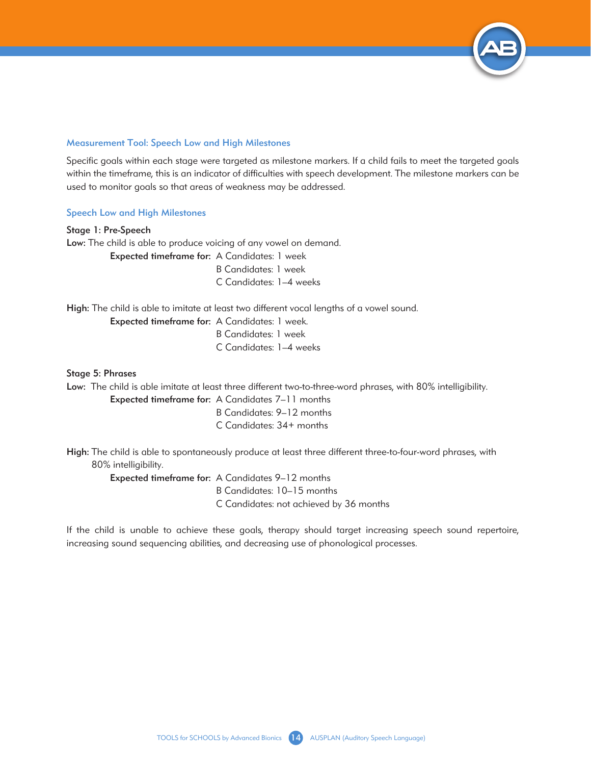

#### Measurement Tool: Speech Low and High Milestones

Specific goals within each stage were targeted as milestone markers. If a child fails to meet the targeted goals within the timeframe, this is an indicator of difficulties with speech development. The milestone markers can be used to monitor goals so that areas of weakness may be addressed.

#### Speech Low and High Milestones

Stage 1: Pre-Speech Low: The child is able to produce voicing of any vowel on demand. Expected timeframe for: A Candidates: 1 week B Candidates: 1 week C Candidates: 1–4 weeks

High: The child is able to imitate at least two different vocal lengths of a vowel sound.

Expected timeframe for: A Candidates: 1 week. B Candidates: 1 week C Candidates: 1–4 weeks

#### Stage 5: Phrases

Low: The child is able imitate at least three different two-to-three-word phrases, with 80% intelligibility.

Expected timeframe for: A Candidates 7–11 months B Candidates: 9–12 months C Candidates: 34+ months

High: The child is able to spontaneously produce at least three different three-to-four-word phrases, with 80% intelligibility.

Expected timeframe for: A Candidates 9–12 months

B Candidates: 10–15 months

C Candidates: not achieved by 36 months

If the child is unable to achieve these goals, therapy should target increasing speech sound repertoire, increasing sound sequencing abilities, and decreasing use of phonological processes.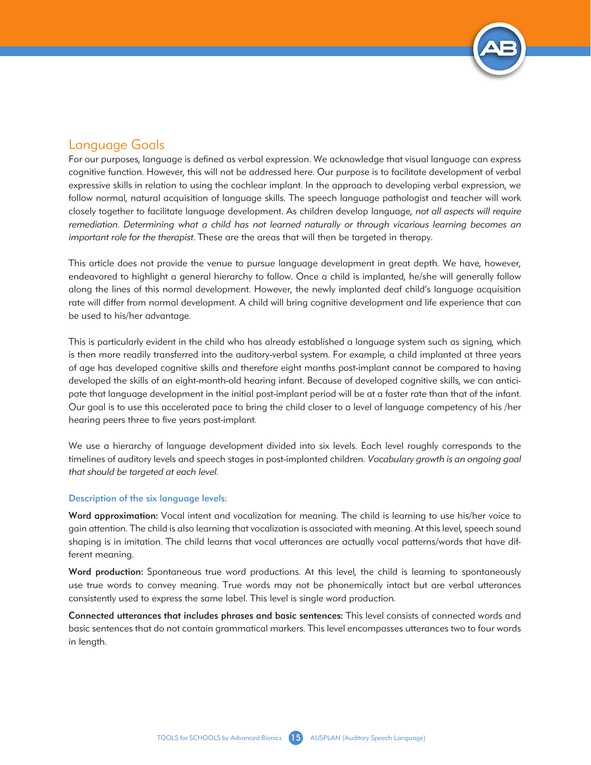

## Language Goals

For our purposes, language is defined as verbal expression. We acknowledge that visual language can express cognitive function. However, this will not be addressed here. Our purpose is to facilitate development of verbal expressive skills in relation to using the cochlear implant. In the approach to developing verbal expression, we follow normal, natural acquisition of language skills. The speech language pathologist and teacher will work closely together to facilitate language development. As children develop language, *not all aspects will require remediation. Determining what a child has not learned naturally or through vicarious learning becomes an important role for the therapist.* These are the areas that will then be targeted in therapy.

This article does not provide the venue to pursue language development in great depth. We have, however, endeavored to highlight a general hierarchy to follow. Once a child is implanted, he/she will generally follow along the lines of this normal development. However, the newly implanted deaf child's language acquisition rate will differ from normal development. A child will bring cognitive development and life experience that can be used to his/her advantage.

This is particularly evident in the child who has already established a language system such as signing, which is then more readily transferred into the auditory-verbal system. For example, a child implanted at three years of age has developed cognitive skills and therefore eight months post-implant cannot be compared to having developed the skills of an eight-month-old hearing infant. Because of developed cognitive skills, we can anticipate that language development in the initial post-implant period will be at a faster rate than that of the infant. Our goal is to use this accelerated pace to bring the child closer to a level of language competency of his /her hearing peers three to five years post-implant.

We use a hierarchy of language development divided into six levels. Each level roughly corresponds to the timelines of auditory levels and speech stages in post-implanted children. *Vocabulary growth is an ongoing goal that should be targeted at each level.* 

#### Description of the six language levels:

Word approximation: Vocal intent and vocalization for meaning. The child is learning to use his/her voice to gain attention. The child is also learning that vocalization is associated with meaning. At this level, speech sound shaping is in imitation. The child learns that vocal utterances are actually vocal patterns/words that have different meaning.

Word production: Spontaneous true word productions. At this level, the child is learning to spontaneously use true words to convey meaning. True words may not be phonemically intact but are verbal utterances consistently used to express the same label. This level is single word production.

Connected utterances that includes phrases and basic sentences: This level consists of connected words and basic sentences that do not contain grammatical markers. This level encompasses utterances two to four words in length.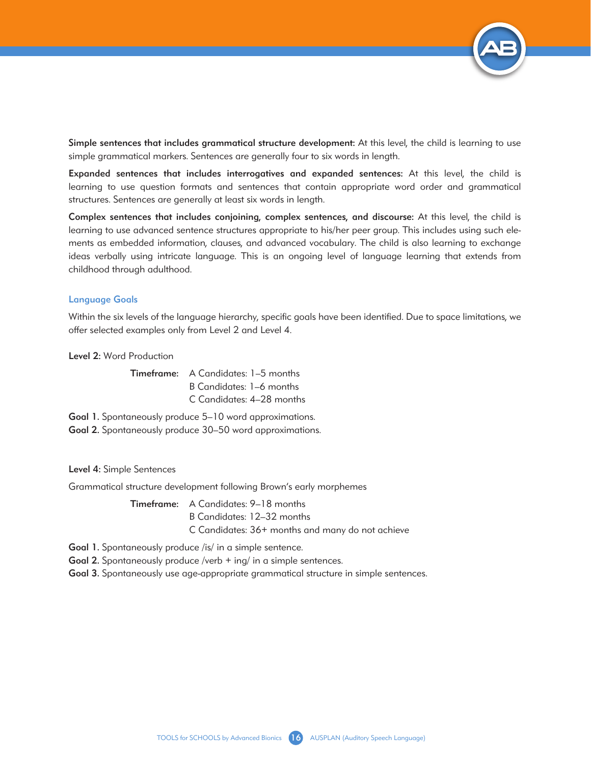

Simple sentences that includes grammatical structure development: At this level, the child is learning to use simple grammatical markers. Sentences are generally four to six words in length.

Expanded sentences that includes interrogatives and expanded sentences: At this level, the child is learning to use question formats and sentences that contain appropriate word order and grammatical structures. Sentences are generally at least six words in length.

Complex sentences that includes conjoining, complex sentences, and discourse: At this level, the child is learning to use advanced sentence structures appropriate to his/her peer group. This includes using such elements as embedded information, clauses, and advanced vocabulary. The child is also learning to exchange ideas verbally using intricate language. This is an ongoing level of language learning that extends from childhood through adulthood.

#### Language Goals

Within the six levels of the language hierarchy, specific goals have been identified. Due to space limitations, we offer selected examples only from Level 2 and Level 4.

Level 2: Word Production

Timeframe: A Candidates: 1–5 months B Candidates: 1–6 months C Candidates: 4–28 months

Goal 1. Spontaneously produce 5-10 word approximations. Goal 2. Spontaneously produce 30–50 word approximations.

Level 4: Simple Sentences

Grammatical structure development following Brown's early morphemes

Timeframe: A Candidates: 9–18 months B Candidates: 12–32 months C Candidates: 36+ months and many do not achieve

Goal 1. Spontaneously produce /is/ in a simple sentence.

Goal 2. Spontaneously produce /verb + ing/ in a simple sentences.

Goal 3. Spontaneously use age-appropriate grammatical structure in simple sentences.